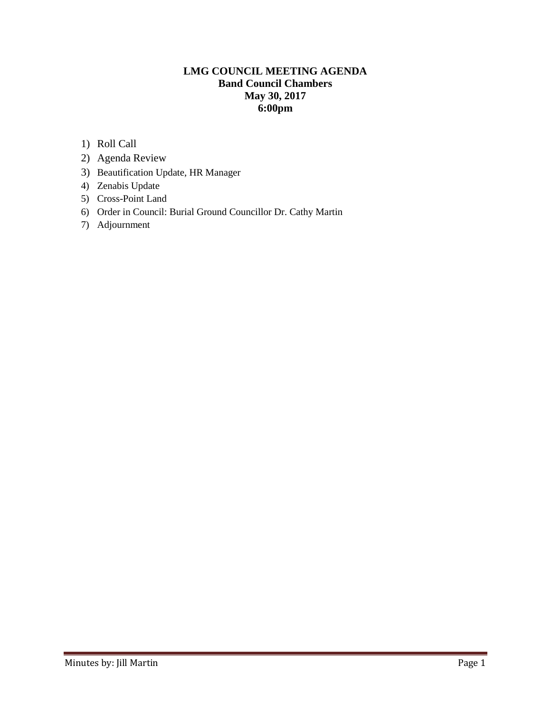## **LMG COUNCIL MEETING AGENDA Band Council Chambers May 30, 2017 6:00pm**

- 1) Roll Call
- 2) Agenda Review
- 3) Beautification Update, HR Manager
- 4) Zenabis Update
- 5) Cross-Point Land
- 6) Order in Council: Burial Ground Councillor Dr. Cathy Martin
- 7) Adjournment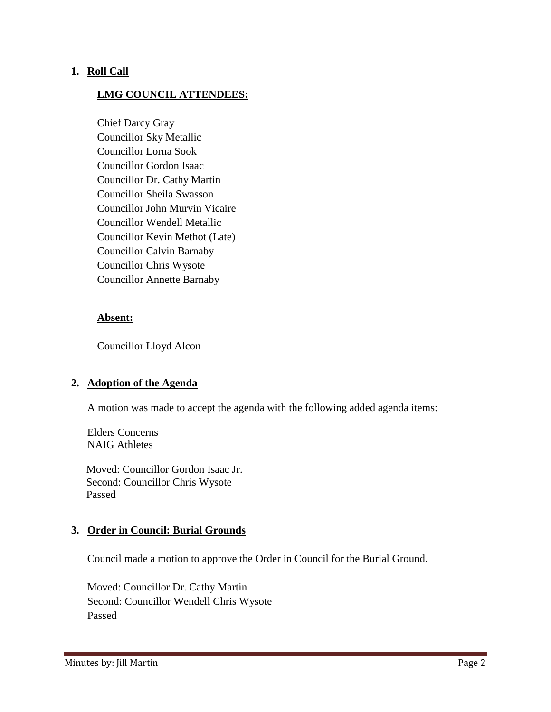### **1. Roll Call**

### **LMG COUNCIL ATTENDEES:**

Chief Darcy Gray Councillor Sky Metallic Councillor Lorna Sook Councillor Gordon Isaac Councillor Dr. Cathy Martin Councillor Sheila Swasson Councillor John Murvin Vicaire Councillor Wendell Metallic Councillor Kevin Methot (Late) Councillor Calvin Barnaby Councillor Chris Wysote Councillor Annette Barnaby

#### **Absent:**

Councillor Lloyd Alcon

#### **2. Adoption of the Agenda**

A motion was made to accept the agenda with the following added agenda items:

Elders Concerns NAIG Athletes

 Moved: Councillor Gordon Isaac Jr. Second: Councillor Chris Wysote Passed

#### **3. Order in Council: Burial Grounds**

Council made a motion to approve the Order in Council for the Burial Ground.

Moved: Councillor Dr. Cathy Martin Second: Councillor Wendell Chris Wysote Passed